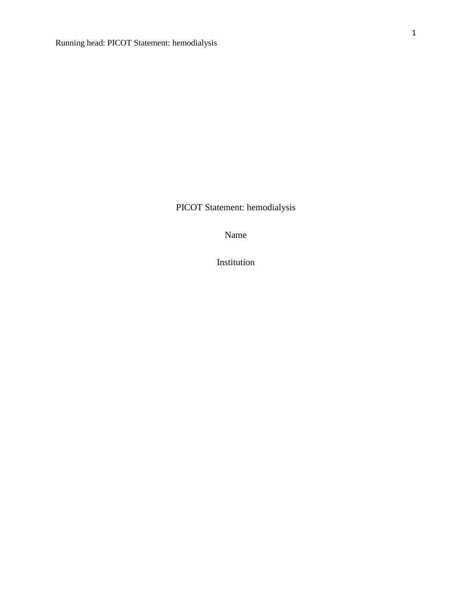PICOT Statement: hemodialysis

Name

Institution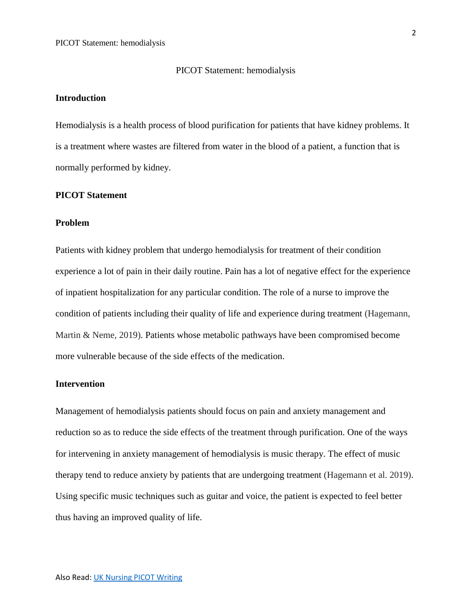#### PICOT Statement: hemodialysis

## **Introduction**

Hemodialysis is a health process of blood purification for patients that have kidney problems. It is a treatment where wastes are filtered from water in the blood of a patient, a function that is normally performed by kidney.

## **PICOT Statement**

#### **Problem**

Patients with kidney problem that undergo hemodialysis for treatment of their condition experience a lot of pain in their daily routine. Pain has a lot of negative effect for the experience of inpatient hospitalization for any particular condition. The role of a nurse to improve the condition of patients including their quality of life and experience during treatment (Hagemann, Martin & Neme, 2019). Patients whose metabolic pathways have been compromised become more vulnerable because of the side effects of the medication.

#### **Intervention**

Management of hemodialysis patients should focus on pain and anxiety management and reduction so as to reduce the side effects of the treatment through purification. One of the ways for intervening in anxiety management of hemodialysis is music therapy. The effect of music therapy tend to reduce anxiety by patients that are undergoing treatment (Hagemann et al. 2019). Using specific music techniques such as guitar and voice, the patient is expected to feel better thus having an improved quality of life.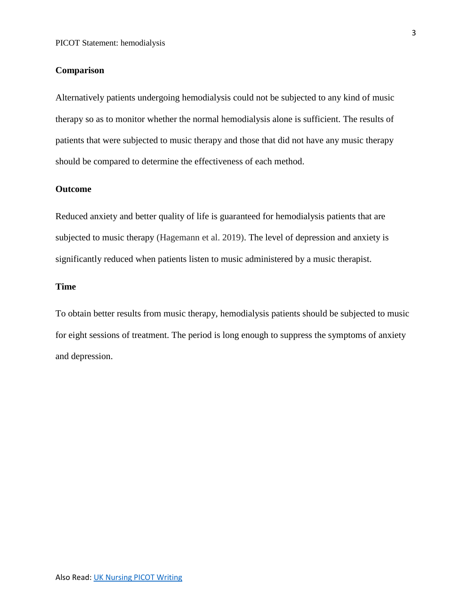### **Comparison**

Alternatively patients undergoing hemodialysis could not be subjected to any kind of music therapy so as to monitor whether the normal hemodialysis alone is sufficient. The results of patients that were subjected to music therapy and those that did not have any music therapy should be compared to determine the effectiveness of each method.

## **Outcome**

Reduced anxiety and better quality of life is guaranteed for hemodialysis patients that are subjected to music therapy (Hagemann et al. 2019). The level of depression and anxiety is significantly reduced when patients listen to music administered by a music therapist.

## **Time**

To obtain better results from music therapy, hemodialysis patients should be subjected to music for eight sessions of treatment. The period is long enough to suppress the symptoms of anxiety and depression.